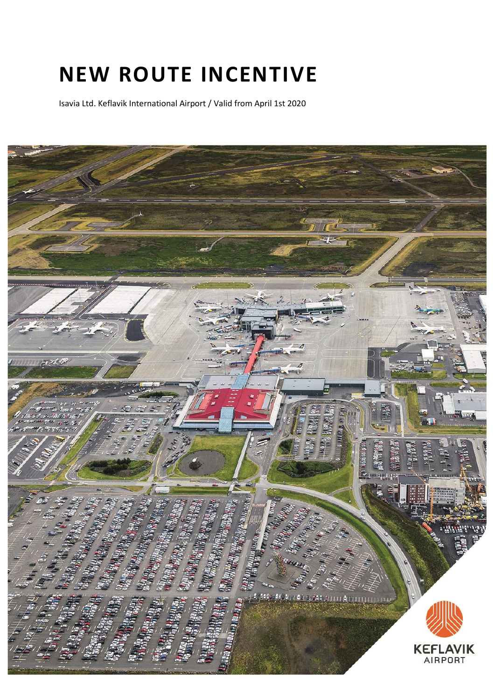# **NEW ROUTE INCENTIVE**

Isavia Ltd. Keflavik International Airport / Valid from April 1st 2020

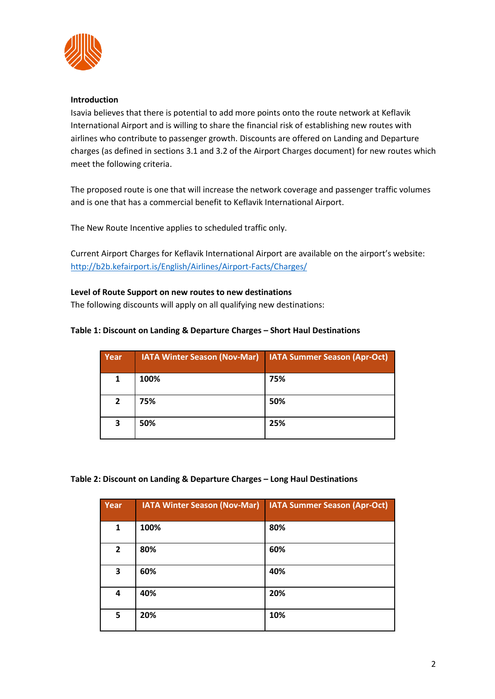

## **Introduction**

Isavia believes that there is potential to add more points onto the route network at Keflavik International Airport and is willing to share the financial risk of establishing new routes with airlines who contribute to passenger growth. Discounts are offered on Landing and Departure charges (as defined in sections 3.1 and 3.2 of the Airport Charges document) for new routes which meet the following criteria.

The proposed route is one that will increase the network coverage and passenger traffic volumes and is one that has a commercial benefit to Keflavik International Airport.

The New Route Incentive applies to scheduled traffic only.

Current Airport Charges for Keflavik International Airport are available on the airport's website: <http://b2b.kefairport.is/English/Airlines/Airport-Facts/Charges/>

## **Level of Route Support on new routes to new destinations**

The following discounts will apply on all qualifying new destinations:

## **Table 1: Discount on Landing & Departure Charges – Short Haul Destinations**

| Year           | <b>IATA Winter Season (Nov-Mar)</b> | <b>IATA Summer Season (Apr-Oct)</b> |
|----------------|-------------------------------------|-------------------------------------|
| 1              | 100%                                | 75%                                 |
| $\overline{2}$ | 75%                                 | 50%                                 |
| 3              | 50%                                 | 25%                                 |

### **Table 2: Discount on Landing & Departure Charges – Long Haul Destinations**

| Year           | <b>IATA Winter Season (Nov-Mar)</b> | <b>IATA Summer Season (Apr-Oct)</b> |
|----------------|-------------------------------------|-------------------------------------|
| 1              | 100%                                | 80%                                 |
| $\overline{2}$ | 80%                                 | 60%                                 |
| 3              | 60%                                 | 40%                                 |
| 4              | 40%                                 | 20%                                 |
| 5              | 20%                                 | 10%                                 |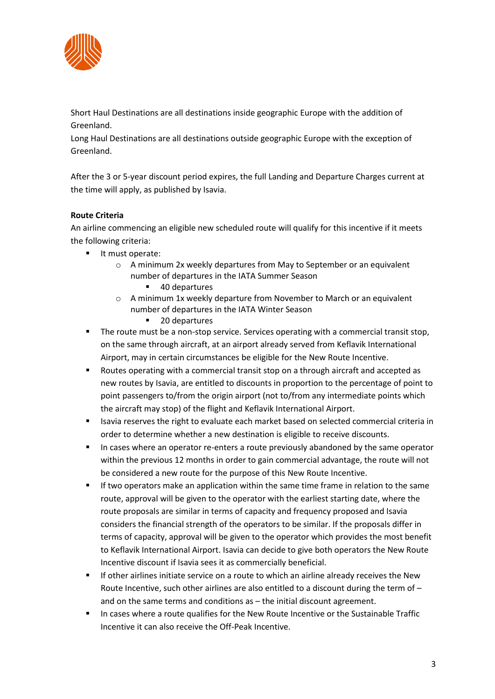

Short Haul Destinations are all destinations inside geographic Europe with the addition of Greenland.

Long Haul Destinations are all destinations outside geographic Europe with the exception of Greenland.

After the 3 or 5-year discount period expires, the full Landing and Departure Charges current at the time will apply, as published by Isavia.

# **Route Criteria**

An airline commencing an eligible new scheduled route will qualify for this incentive if it meets the following criteria:

- It must operate:
	- o A minimum 2x weekly departures from May to September or an equivalent number of departures in the IATA Summer Season
		- 40 departures
	- o A minimum 1x weekly departure from November to March or an equivalent number of departures in the IATA Winter Season
		- 20 departures
- The route must be a non-stop service. Services operating with a commercial transit stop, on the same through aircraft, at an airport already served from Keflavik International Airport, may in certain circumstances be eligible for the New Route Incentive.
- Routes operating with a commercial transit stop on a through aircraft and accepted as new routes by Isavia, are entitled to discounts in proportion to the percentage of point to point passengers to/from the origin airport (not to/from any intermediate points which the aircraft may stop) of the flight and Keflavik International Airport.
- Isavia reserves the right to evaluate each market based on selected commercial criteria in order to determine whether a new destination is eligible to receive discounts.
- **■** In cases where an operator re-enters a route previously abandoned by the same operator within the previous 12 months in order to gain commercial advantage, the route will not be considered a new route for the purpose of this New Route Incentive.
- **■** If two operators make an application within the same time frame in relation to the same route, approval will be given to the operator with the earliest starting date, where the route proposals are similar in terms of capacity and frequency proposed and Isavia considers the financial strength of the operators to be similar. If the proposals differ in terms of capacity, approval will be given to the operator which provides the most benefit to Keflavik International Airport. Isavia can decide to give both operators the New Route Incentive discount if Isavia sees it as commercially beneficial.
- **■** If other airlines initiate service on a route to which an airline already receives the New Route Incentive, such other airlines are also entitled to a discount during the term of  $$ and on the same terms and conditions as – the initial discount agreement.
- In cases where a route qualifies for the New Route Incentive or the Sustainable Traffic Incentive it can also receive the Off-Peak Incentive.